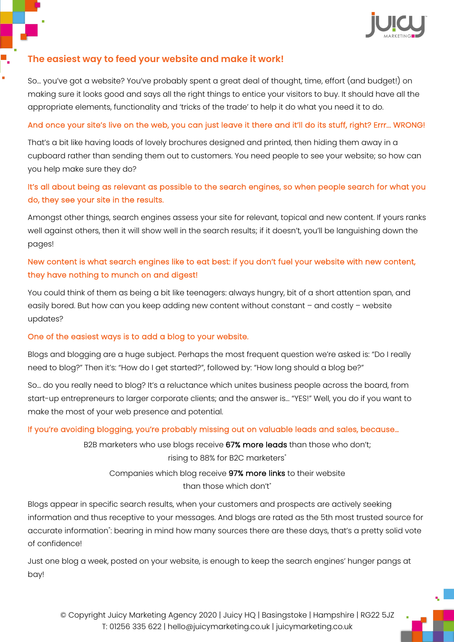

### **The easiest way to feed your website and make it work!**

So… you've got a website? You've probably spent a great deal of thought, time, effort (and budget!) on making sure it looks good and says all the right things to entice your visitors to buy. It should have all the appropriate elements, functionality and 'tricks of the trade' to help it do what you need it to do.

### And once your site's live on the web, you can just leave it there and it'll do its stuff, right? Errr... WRONG!

That's a bit like having loads of lovely brochures designed and printed, then hiding them away in a cupboard rather than sending them out to customers. You need people to see your website; so how can you help make sure they do?

# It's all about being as relevant as possible to the search engines, so when people search for what you do, they see your site in the results.

Amongst other things, search engines assess your site for relevant, topical and new content. If yours ranks well against others, then it will show well in the search results; if it doesn't, you'll be languishing down the pages!

# New content is what search engines like to eat best: if you don't fuel your website with new content, they have nothing to munch on and digest!

You could think of them as being a bit like teenagers: always hungry, bit of a short attention span, and easily bored. But how can you keep adding new content without constant – and costly – website updates?

#### One of the easiest ways is to add a blog to your website.

Blogs and blogging are a huge subject. Perhaps the most frequent question we're asked is: "Do I really need to blog?" Then it's: "How do I get started?", followed by: "How long should a blog be?"

So… do you really need to blog? It's a reluctance which unites business people across the board, from start-up entrepreneurs to larger corporate clients; and the answer is… "YES!" Well, you do if you want to make the most of your web presence and potential.

#### If you're avoiding blogging, you're probably missing out on valuable leads and sales, because…

B2B marketers who use blogs receive 67% more leads than those who don't; rising to 88% for B2C marketers\*

Companies which blog receive 97% more links to their website than those which don't\*

Blogs appear in specific search results, when your customers and prospects are actively seeking information and thus receptive to your messages. And blogs are rated as the 5th most trusted source for accurate information\* : bearing in mind how many sources there are these days, that's a pretty solid vote of confidence!

Just one blog a week, posted on your website, is enough to keep the search engines' hunger pangs at bay!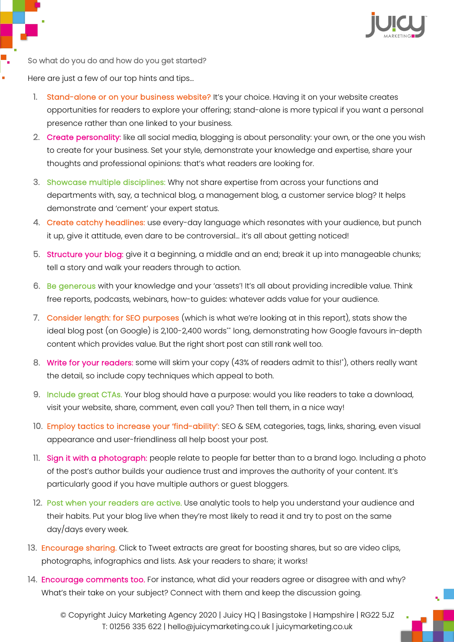

So what do you do and how do you get started?

Here are just a few of our top hints and tips…

- 1. Stand-alone or on your business website? It's your choice. Having it on your website creates opportunities for readers to explore your offering; stand-alone is more typical if you want a personal presence rather than one linked to your business.
- 2. Create personality: like all social media, blogging is about personality: your own, or the one you wish to create for your business. Set your style, demonstrate your knowledge and expertise, share your thoughts and professional opinions: that's what readers are looking for.
- 3. Showcase multiple disciplines: Why not share expertise from across your functions and departments with, say, a technical blog, a management blog, a customer service blog? It helps demonstrate and 'cement' your expert status.
- 4. Create catchy headlines: use every-day language which resonates with your audience, but punch it up, give it attitude, even dare to be controversial… it's all about getting noticed!
- 5. Structure your blog: give it a beginning, a middle and an end; break it up into manageable chunks; tell a story and walk your readers through to action.
- 6. Be generous with your knowledge and your 'assets'! It's all about providing incredible value. Think free reports, podcasts, webinars, how-to guides: whatever adds value for your audience.
- 7. Consider length: for SEO purposes (which is what we're looking at in this report), stats show the ideal blog post (on Google) is 2,100-2,400 words\*\* long, demonstrating how Google favours in-depth content which provides value. But the right short post can still rank well too.
- 8. **Write for your readers:** some will skim your copy (43% of readers admit to this!\*), others really want the detail, so include copy techniques which appeal to both.
- 9. Include great CTAs. Your blog should have a purpose: would you like readers to take a download, visit your website, share, comment, even call you? Then tell them, in a nice way!
- 10. Employ tactics to increase your 'find-ability': SEO & SEM, categories, tags, links, sharing, even visual appearance and user-friendliness all help boost your post.
- 11. Sign it with a photograph: people relate to people far better than to a brand logo. Including a photo of the post's author builds your audience trust and improves the authority of your content. It's particularly good if you have multiple authors or guest bloggers.
- 12. Post when your readers are active. Use analytic tools to help you understand your audience and their habits. Put your blog live when they're most likely to read it and try to post on the same day/days every week.
- 13. Encourage sharing. Click to Tweet extracts are great for boosting shares, but so are video clips, photographs, infographics and lists. Ask your readers to share; it works!
- 14. Encourage comments too. For instance, what did your readers agree or disagree with and why? What's their take on your subject? Connect with them and keep the discussion going.

© Copyright Juicy Marketing Agency 2020 | Juicy HQ | Basingstoke | Hampshire | RG22 5JZ T: 01256 335 622 | hello@juicymarketing.co.uk | juicymarketing.co.uk